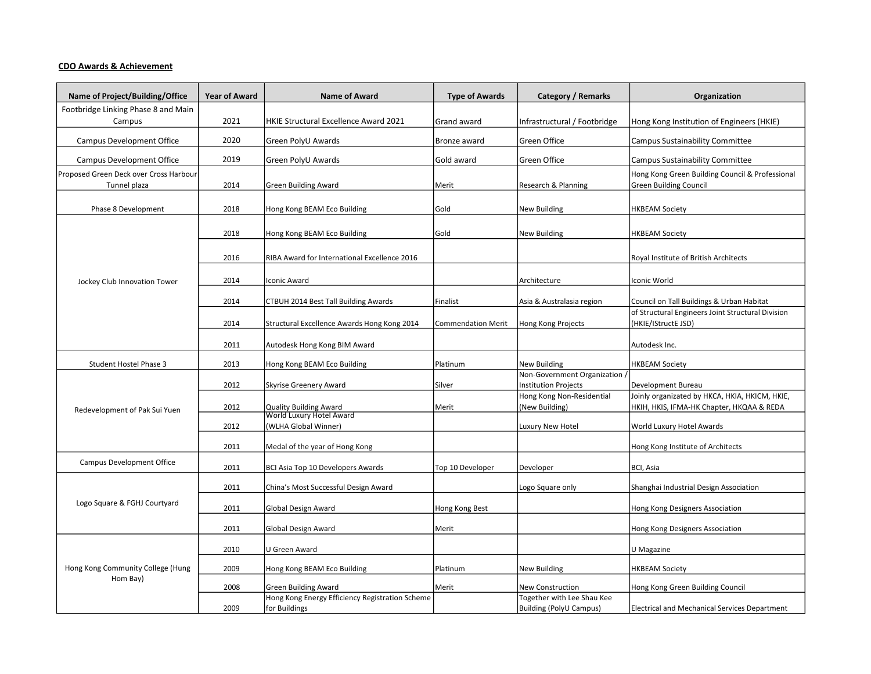## CDO Awards & Achievement

| Name of Project/Building/Office               | <b>Year of Award</b> | <b>Name of Award</b>                            | <b>Type of Awards</b>     | Category / Remarks                                       | Organization                                                             |
|-----------------------------------------------|----------------------|-------------------------------------------------|---------------------------|----------------------------------------------------------|--------------------------------------------------------------------------|
| Footbridge Linking Phase 8 and Main           |                      |                                                 |                           |                                                          |                                                                          |
| Campus                                        | 2021                 | <b>HKIE Structural Excellence Award 2021</b>    | Grand award               | Infrastructural / Footbridge                             | Hong Kong Institution of Engineers (HKIE)                                |
| <b>Campus Development Office</b>              | 2020                 | Green PolyU Awards                              | Bronze award              | Green Office                                             | <b>Campus Sustainability Committee</b>                                   |
| <b>Campus Development Office</b>              | 2019                 | Green PolyU Awards                              | Gold award                | Green Office                                             | <b>Campus Sustainability Committee</b>                                   |
| Proposed Green Deck over Cross Harbour        |                      |                                                 |                           |                                                          | Hong Kong Green Building Council & Professional                          |
| Tunnel plaza                                  | 2014                 | <b>Green Building Award</b>                     | Merit                     | Research & Planning                                      | <b>Green Building Council</b>                                            |
| Phase 8 Development                           | 2018                 | Hong Kong BEAM Eco Building                     | Gold                      | <b>New Building</b>                                      | <b>HKBEAM Society</b>                                                    |
|                                               |                      |                                                 |                           |                                                          |                                                                          |
| Jockey Club Innovation Tower                  | 2018                 | Hong Kong BEAM Eco Building                     | Gold                      | <b>New Building</b>                                      | <b>HKBEAM Society</b>                                                    |
|                                               | 2016                 | RIBA Award for International Excellence 2016    |                           |                                                          | Royal Institute of British Architects                                    |
|                                               | 2014                 | Iconic Award                                    |                           | Architecture                                             | Iconic World                                                             |
|                                               | 2014                 | CTBUH 2014 Best Tall Building Awards            | Finalist                  | Asia & Australasia region                                | Council on Tall Buildings & Urban Habitat                                |
|                                               | 2014                 | Structural Excellence Awards Hong Kong 2014     | <b>Commendation Merit</b> | Hong Kong Projects                                       | of Structural Engineers Joint Structural Division<br>(HKIE/IStructE JSD) |
|                                               | 2011                 | Autodesk Hong Kong BIM Award                    |                           |                                                          | Autodesk Inc.                                                            |
| Student Hostel Phase 3                        | 2013                 | Hong Kong BEAM Eco Building                     | Platinum                  | <b>New Building</b>                                      | <b>HKBEAM Society</b>                                                    |
| Redevelopment of Pak Sui Yuen                 |                      |                                                 |                           | Non-Government Organization /                            |                                                                          |
|                                               | 2012                 | Skyrise Greenery Award                          | Silver                    | <b>Institution Projects</b><br>Hong Kong Non-Residential | Development Bureau<br>Joinly organizated by HKCA, HKIA, HKICM, HKIE,     |
|                                               | 2012                 | <b>Quality Building Award</b>                   | Merit                     | (New Building)                                           | HKIH, HKIS, IFMA-HK Chapter, HKQAA & REDA                                |
|                                               |                      | World Luxury Hotel Award                        |                           |                                                          |                                                                          |
|                                               | 2012                 | (WLHA Global Winner)                            |                           | Luxury New Hotel                                         | World Luxury Hotel Awards                                                |
|                                               | 2011                 | Medal of the year of Hong Kong                  |                           |                                                          | Hong Kong Institute of Architects                                        |
| Campus Development Office                     | 2011                 | BCI Asia Top 10 Developers Awards               | Top 10 Developer          | Developer                                                | BCI, Asia                                                                |
| Logo Square & FGHJ Courtyard                  | 2011                 | China's Most Successful Design Award            |                           | Logo Square only                                         | Shanghai Industrial Design Association                                   |
|                                               | 2011                 | Global Design Award                             | Hong Kong Best            |                                                          | Hong Kong Designers Association                                          |
|                                               | 2011                 | <b>Global Design Award</b>                      | Merit                     |                                                          | Hong Kong Designers Association                                          |
| Hong Kong Community College (Hung<br>Hom Bay) |                      |                                                 |                           |                                                          |                                                                          |
|                                               | 2010                 | U Green Award                                   |                           |                                                          | U Magazine                                                               |
|                                               | 2009                 | Hong Kong BEAM Eco Building                     | Platinum                  | <b>New Building</b>                                      | <b>HKBEAM Society</b>                                                    |
|                                               | 2008                 | <b>Green Building Award</b>                     | Merit                     | <b>New Construction</b>                                  | Hong Kong Green Building Council                                         |
|                                               |                      | Hong Kong Energy Efficiency Registration Scheme |                           | Together with Lee Shau Kee                               |                                                                          |
|                                               | 2009                 | for Buildings                                   |                           | <b>Building (PolyU Campus)</b>                           | <b>Electrical and Mechanical Services Department</b>                     |